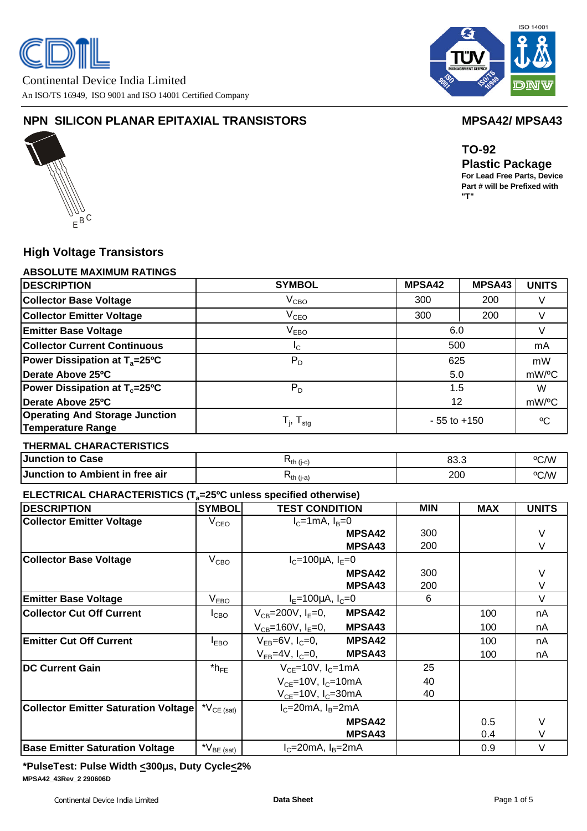

Continental Device India Limited An ISO/TS 16949, ISO 9001 and ISO 14001 Certified Company



# **NPN SILICON PLANAR EPITAXIAL TRANSISTORS MPSA42/ MPSA43**



**TO-92 Plastic Package**

**For Lead Free Parts, Device Part # will be Prefixed with "T"**

# **High Voltage Transistors**

# **ABSOLUTE MAXIMUM RATINGS**

| <b>DESCRIPTION</b>                                         | <b>SYMBOL</b>              | <b>MPSA42</b>   | MPSA43 | <b>UNITS</b>       |
|------------------------------------------------------------|----------------------------|-----------------|--------|--------------------|
| <b>Collector Base Voltage</b>                              | $V_{\text{CBO}}$           | 300             | 200    |                    |
| <b>Collector Emitter Voltage</b>                           | $\rm V_{CEO}$              | 300             | 200    |                    |
| <b>Emitter Base Voltage</b>                                | $V_{EBO}$                  | 6.0             |        |                    |
| <b>Collector Current Continuous</b>                        | $I_{C}$                    | 500             |        | mA                 |
| <b>Power Dissipation at <math>T_a = 25^{\circ}C</math></b> | $P_D$                      | 625             |        | mW                 |
| Derate Above 25°C                                          |                            | 5.0             |        | mW/ <sup>o</sup> C |
| <b>Power Dissipation at T<sub>c</sub>=25°C</b>             | $P_D$                      |                 | 1.5    |                    |
| Derate Above 25°C                                          |                            |                 | 12     |                    |
| <b>Operating And Storage Junction</b><br>Temperature Range | $T_{i}$ , $T_{\text{stg}}$ | $-55$ to $+150$ |        | $\rm ^{o}C$        |

### **THERMAL CHARACTERISTICS**

| Junction to Case                | 飞th (i-c)        | ററ റ<br>ບບ.ບ | °C/W |
|---------------------------------|------------------|--------------|------|
| Junction to Ambient in free air | <b>โth (j-a)</b> | 200          | °C/W |

# **ELECTRICAL CHARACTERISTICS (Ta=25ºC unless specified otherwise)**

| <b>DESCRIPTION</b>                          | <b>SYMBOL</b>                            | <b>TEST CONDITION</b>                      |               | <b>MIN</b> | <b>MAX</b> | <b>UNITS</b> |
|---------------------------------------------|------------------------------------------|--------------------------------------------|---------------|------------|------------|--------------|
| <b>Collector Emitter Voltage</b>            | V <sub>CEO</sub>                         | $I_C=1mA$ , $I_B=0$                        |               |            |            |              |
|                                             |                                          |                                            | <b>MPSA42</b> | 300        |            | V            |
|                                             |                                          |                                            | MPSA43        | 200        |            | $\vee$       |
| <b>Collector Base Voltage</b>               | V <sub>CBO</sub>                         | $I_c = 100 \mu A$ , $I_E = 0$              |               |            |            |              |
|                                             |                                          | <b>MPSA42</b>                              |               | 300        |            | V            |
|                                             |                                          |                                            | MPSA43        | 200        |            | $\vee$       |
| <b>Emitter Base Voltage</b>                 | V <sub>EBO</sub>                         | $I_F = 100 \mu A, I_C = 0$                 |               | 6          |            | $\vee$       |
| <b>Collector Cut Off Current</b>            | $I_{CBO}$                                | $V_{CB} = 200V, I_E = 0,$                  | <b>MPSA42</b> |            | 100        | nA           |
|                                             |                                          | $V_{CB} = 160V, I_F = 0,$                  | MPSA43        |            | 100        | nA           |
| <b>Emitter Cut Off Current</b>              | I <sub>EBO</sub>                         | $V_{FB}$ =6V, $I_C$ =0,                    | <b>MPSA42</b> |            | 100        | nA           |
|                                             |                                          | $V_{FB}$ =4V, $I_C$ =0, MPSA43             |               |            | 100        | nA           |
| <b>DC Current Gain</b>                      | $*h_{FE}$                                | $V_{CF}$ =10V, $I_C$ =1mA                  |               | 25         |            |              |
|                                             |                                          | $V_{CF}$ =10V, $I_C$ =10mA                 |               | 40         |            |              |
|                                             |                                          | $V_{CF}$ =10V, $I_C$ =30mA                 |               | 40         |            |              |
| <b>Collector Emitter Saturation Voltage</b> | $^{\star}\mathsf{V}_{\mathsf{CE}}$ (sat) | $I_c = 20mA$ , $I_B = 2mA$                 |               |            |            |              |
|                                             |                                          | <b>MPSA42</b>                              |               |            | 0.5        | V            |
|                                             |                                          | MPSA43                                     |               |            | 0.4        | $\vee$       |
| <b>Base Emitter Saturation Voltage</b>      | $N_{BE (sat)}$                           | $I_c = 20 \text{mA}$ , $I_B = 2 \text{mA}$ |               |            | 0.9        | $\vee$       |

**\*PulseTest: Pulse Width <300ms, Duty Cycle<2% MPSA42\_43Rev\_2 290606D**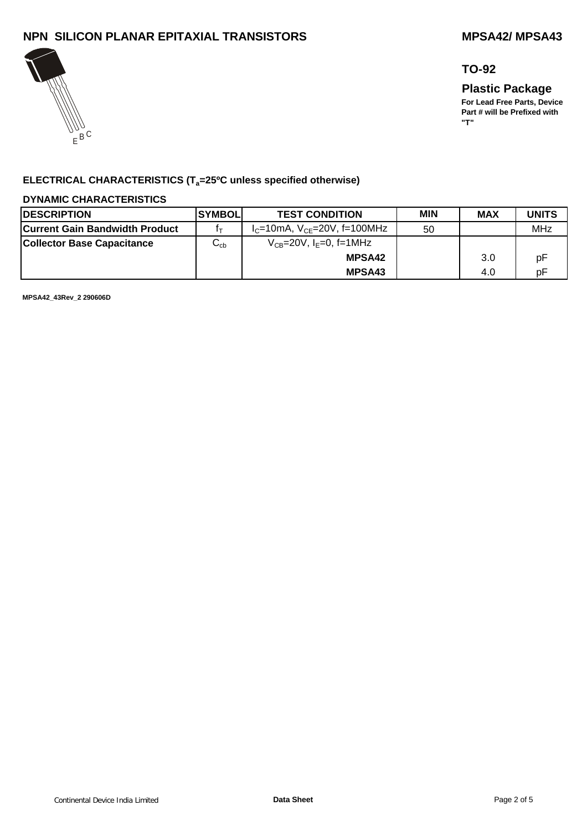# **NPN SILICON PLANAR EPITAXIAL TRANSISTORS MPSA42/ MPSA43**



# **TO-92**

**"T"**

**Plastic Package For Lead Free Parts, Device Part # will be Prefixed with** 

**ELECTRICAL CHARACTERISTICS (Ta=25ºC unless specified otherwise)**

### **DYNAMIC CHARACTERISTICS**

| <b>IDESCRIPTION</b>                   | <b>ISYMBOLI</b>               | <b>MIN</b><br><b>TEST CONDITION</b>        |    | <b>MAX</b> | <b>UNITS</b> |
|---------------------------------------|-------------------------------|--------------------------------------------|----|------------|--------------|
| <b>Current Gain Bandwidth Product</b> |                               | $I_{C}$ =10mA, $V_{CF}$ =20V, f=100MHz     | 50 |            | MHz          |
| <b>Collector Base Capacitance</b>     | $\mathsf{\omega}_{\text{cb}}$ | $V_{CB} = 20V$ , I <sub>F</sub> =0, f=1MHz |    |            |              |
|                                       |                               | <b>MPSA42</b>                              |    | 3.0        | рF           |
|                                       |                               | MPSA43                                     |    | 4.0        | рF           |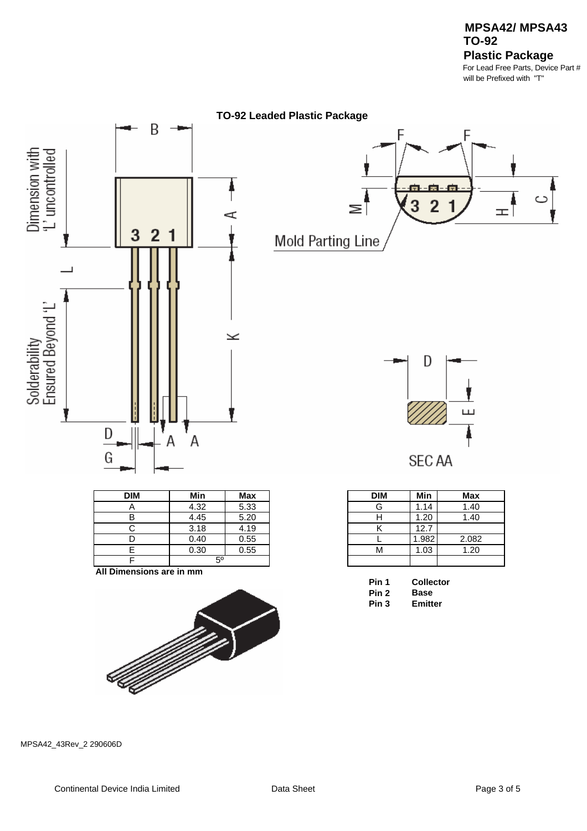

| <b>DIM</b> | Min         | <b>Max</b> |
|------------|-------------|------------|
| n          | 4.32        | 5.33       |
|            | 4.45        | 5.20       |
|            | 3.18        | 4.19       |
|            | 0.40        | 0.55       |
|            | 0.30        | 0.55       |
|            | $5^{\circ}$ |            |

**All Dimensions are in mm**







| DIM | Min   | Max   |
|-----|-------|-------|
| G   | 1.14  | 1.40  |
| н   | 1.20  | 1.40  |
| κ   | 12.7  |       |
|     | 1.982 | 2.082 |
| ٦Λ  | 1.03  | 1.20  |
|     |       |       |

| Pin 1 | <b>Collector</b> |
|-------|------------------|
| Pin 2 | Base             |
| Pin 3 | Emitter          |

| вase    |
|---------|
| Emitter |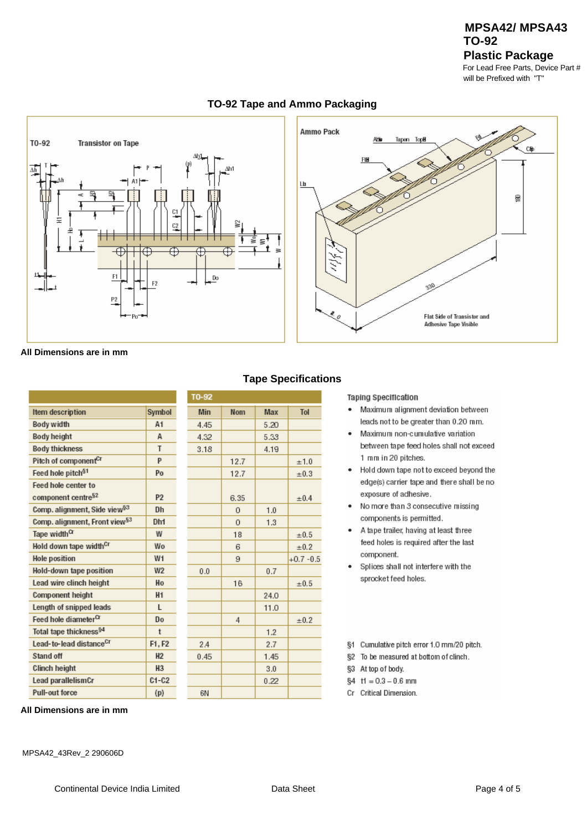# **TO-92 Plastic Package MPSA42/ MPSA43**

For Lead Free Parts, Device Part # will be Prefixed with "T"



## **TO-92 Tape and Ammo Packaging**

**All Dimensions are in mm**

|                                           |                | T0-92 |            |  |
|-------------------------------------------|----------------|-------|------------|--|
| Item description                          | Symbol         | Min   | <b>Nom</b> |  |
| Body width                                | A <sub>1</sub> | 4.45  |            |  |
| Body height                               | А              | 4.32  |            |  |
| Body thickness                            | T              | 3.18  |            |  |
| Pitch of component <sup>Cr</sup>          | P              |       | 12.7       |  |
| Feed hole pitch <sup>§1</sup>             | Po             |       | 12.7       |  |
| Feed hole center to                       |                |       |            |  |
| component centre <sup>§2</sup>            | P <sub>2</sub> |       | 6.35       |  |
| Comp. alignment, Side view <sup>§3</sup>  | Dh             |       | 0          |  |
| Comp. alignment, Front view <sup>§3</sup> | Dh1            |       | $\Omega$   |  |
| Tape width <sup>Cr</sup>                  | W              |       | 18         |  |
| Hold down tape width <sup>cr</sup>        | Wo             |       | 6          |  |
| <b>Hole position</b>                      | W1             |       | 9          |  |
| Hold-down tape position                   | W <sub>2</sub> | 0.0   |            |  |
| Lead wire clinch height                   | Ho             |       | 16         |  |
| Component height                          | H <sub>1</sub> |       |            |  |
| Length of snipped leads                   | L              |       |            |  |
| Feed hole diameter <sup>CT</sup>          | Do             |       | 4          |  |
| Total tape thickness <sup>§4</sup>        | t              |       |            |  |
| Lead-to-lead distance <sup>Cr</sup>       | F1.F2          | 2A    |            |  |
| Stand off                                 | H <sub>2</sub> | 0.45  |            |  |
| Clinch height                             | H <sub>3</sub> |       |            |  |
| Lead parallelismCr                        | $C1-C2$        |       |            |  |
| Pull-out force                            | (p)            | 6N    |            |  |

**All Dimensions are in mm**

# **Tape Specifications**

Max Tol  $5.20$ 5.33 4.19  $+1.0$  $\pm 0.3$  $±0.4$  $1.0$  $1.3$  $±0.5$  $±0.2$  $+0.7 -0.5$  $0.7$  $\pm 0.5$ 24.0  $11.0$  $\pm 0.2$  $1.2$ 2.7 1.45  $3.0$  $0.22$ 

### **Taping Specification**

- · Maximum alignment deviation between leads not to be greater than 0.20 mm.
- Maximum non-cumulative variation  $\ddot{\phantom{a}}$ between tape feed holes shall not exceed 1 mm in 20 pitches.
- . Hold down tape not to exceed beyond the edge(s) carrier tape and there shall be no exposure of adhesive.
- No more than 3 consecutive missing  $\blacksquare$ components is permitted.
- A tape trailer, having at least three  $\bullet$ feed holes is required after the last component.
- $\ddot{\phantom{0}}$ Splices shall not interfere with the sprocket feed holes.

§1 Cumulative pitch error 1.0 mm/20 pitch.

- §2 To be measured at bottom of clinch.
- §3 At top of body.
- $$4$  t1 = 0.3 0.6 mm
- Cr Critical Dimension.